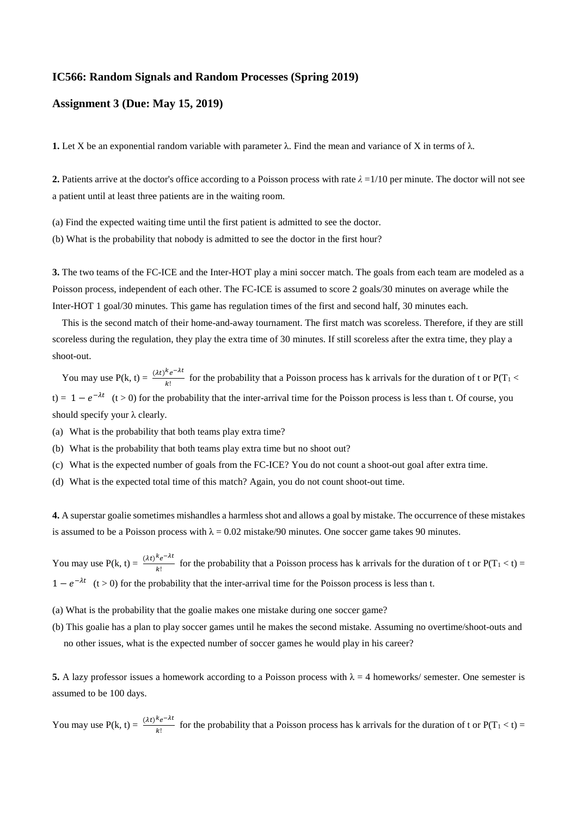## **IC566: Random Signals and Random Processes (Spring 2019)**

## **Assignment 3 (Due: May 15, 2019)**

**1.** Let X be an exponential random variable with parameter  $\lambda$ . Find the mean and variance of X in terms of  $\lambda$ .

**2.** Patients arrive at the doctor's office according to a Poisson process with rate  $\lambda = 1/10$  per minute. The doctor will not see a patient until at least three patients are in the waiting room.

(a) Find the expected waiting time until the first patient is admitted to see the doctor.

(b) What is the probability that nobody is admitted to see the doctor in the first hour?

**3.** The two teams of the FC-ICE and the Inter-HOT play a mini soccer match. The goals from each team are modeled as a Poisson process, independent of each other. The FC-ICE is assumed to score 2 goals/30 minutes on average while the Inter-HOT 1 goal/30 minutes. This game has regulation times of the first and second half, 30 minutes each.

This is the second match of their home-and-away tournament. The first match was scoreless. Therefore, if they are still scoreless during the regulation, they play the extra time of 30 minutes. If still scoreless after the extra time, they play a shoot-out.

You may use  $P(k, t) = \frac{(\lambda t)^k e^{-\lambda t}}{k!}$  $\frac{e}{|k|}$  for the probability that a Poisson process has k arrivals for the duration of t or P(T<sub>1</sub> < t) =  $1 - e^{-\lambda t}$  (t > 0) for the probability that the inter-arrival time for the Poisson process is less than t. Of course, you should specify your λ clearly.

- (a) What is the probability that both teams play extra time?
- (b) What is the probability that both teams play extra time but no shoot out?
- (c) What is the expected number of goals from the FC-ICE? You do not count a shoot-out goal after extra time.
- (d) What is the expected total time of this match? Again, you do not count shoot-out time.

**4.** A superstar goalie sometimes mishandles a harmless shot and allows a goal by mistake. The occurrence of these mistakes is assumed to be a Poisson process with  $\lambda = 0.02$  mistake/90 minutes. One soccer game takes 90 minutes.

You may use  $P(k, t) = \frac{(\lambda t)^k e^{-\lambda t}}{k!}$  $\frac{e}{k!}$  for the probability that a Poisson process has k arrivals for the duration of t or  $P(T_1 < t) =$  $1 - e^{-\lambda t}$  (t > 0) for the probability that the inter-arrival time for the Poisson process is less than t.

- (a) What is the probability that the goalie makes one mistake during one soccer game?
- (b) This goalie has a plan to play soccer games until he makes the second mistake. Assuming no overtime/shoot-outs and no other issues, what is the expected number of soccer games he would play in his career?

**5.** A lazy professor issues a homework according to a Poisson process with  $\lambda = 4$  homeworks/ semester. One semester is assumed to be 100 days.

You may use  $P(k, t) = \frac{(\lambda t)^k e^{-\lambda t}}{k!}$  $\frac{e}{k!}$  for the probability that a Poisson process has k arrivals for the duration of t or  $P(T_1 < t) =$